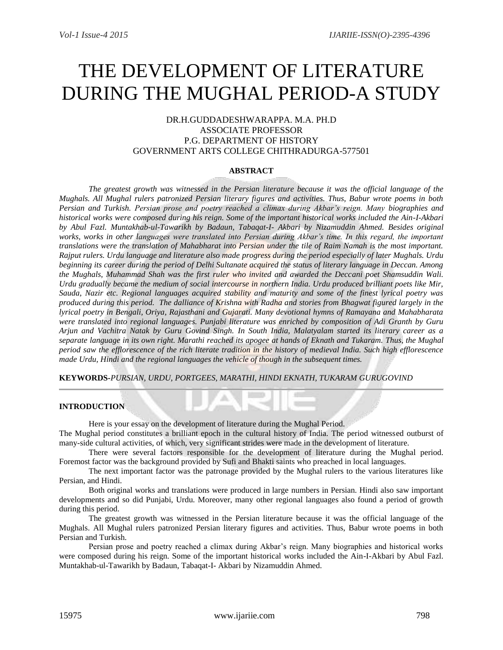# THE DEVELOPMENT OF LITERATURE DURING THE MUGHAL PERIOD-A STUDY

# DR.H.GUDDADESHWARAPPA. M.A. PH.D ASSOCIATE PROFESSOR P.G. DEPARTMENT OF HISTORY GOVERNMENT ARTS COLLEGE CHITHRADURGA-577501

## **ABSTRACT**

*The greatest growth was witnessed in the Persian literature because it was the official language of the Mughals. All Mughal rulers patronized Persian literary figures and activities. Thus, Babur wrote poems in both Persian and Turkish. Persian prose and poetry reached a climax during Akbar's reign. Many biographies and historical works were composed during his reign. Some of the important historical works included the Ain-I-Akbari by Abul Fazl. Muntakhab-ul-Tawarikh by Badaun, Tabaqat-I- Akbari by Nizamuddin Ahmed. Besides original works, works in other languages were translated into Persian during Akbar's time. In this regard, the important translations were the translation of Mahabharat into Persian under the tile of Raim Namah is the most important. Rajput rulers. Urdu language and literature also made progress during the period especially of later Mughals. Urdu beginning its career during the period of Delhi Sultanate acquired the status of literary language in Deccan. Among the Mughals, Muhammad Shah was the first ruler who invited and awarded the Deccani poet Shamsuddin Wali. Urdu gradually became the medium of social intercourse in northern India. Urdu produced brilliant poets like Mir, Sauda, Nazir etc. Regional languages acquired stability and maturity and some of the finest lyrical poetry was produced during this period. The dalliance of Krishna with Radha and stories from Bhagwat figured largely in the lyrical poetry in Bengali, Oriya, Rajasthani and Gujarati. Many devotional hymns of Ramayana and Mahabharata were translated into regional languages. Punjabi literature was enriched by composition of Adi Granth by Guru Arjun and Vachitra Natak by Guru Govind Singh. In South India, Malatyalam started its literary career as a separate language in its own right. Marathi reached its apogee at hands of Eknath and Tukaram. Thus, the Mughal period saw the efflorescence of the rich literate tradition in the history of medieval India. Such high efflorescence made Urdu, Hindi and the regional languages the vehicle of though in the subsequent times.*

**KEYWORDS-***PURSIAN, URDU, PORTGEES, MARATHI, HINDI EKNATH, TUKARAM GURUGOVIND*

# **INTRODUCTION**

Here is your essay on the development of literature during the Mughal Period.

The Mughal period constitutes a brilliant epoch in the cultural history of India. The period witnessed outburst of many-side cultural activities, of which, very significant strides were made in the development of literature.

There were several factors responsible for the development of literature during the Mughal period. Foremost factor was the background provided by Sufi and Bhakti saints who preached in local languages.

The next important factor was the patronage provided by the Mughal rulers to the various literatures like Persian, and Hindi.

Both original works and translations were produced in large numbers in Persian. Hindi also saw important developments and so did Punjabi, Urdu. Moreover, many other regional languages also found a period of growth during this period.

The greatest growth was witnessed in the Persian literature because it was the official language of the Mughals. All Mughal rulers patronized Persian literary figures and activities. Thus, Babur wrote poems in both Persian and Turkish.

Persian prose and poetry reached a climax during Akbar's reign. Many biographies and historical works were composed during his reign. Some of the important historical works included the Ain-I-Akbari by Abul Fazl. Muntakhab-ul-Tawarikh by Badaun, Tabaqat-I- Akbari by Nizamuddin Ahmed.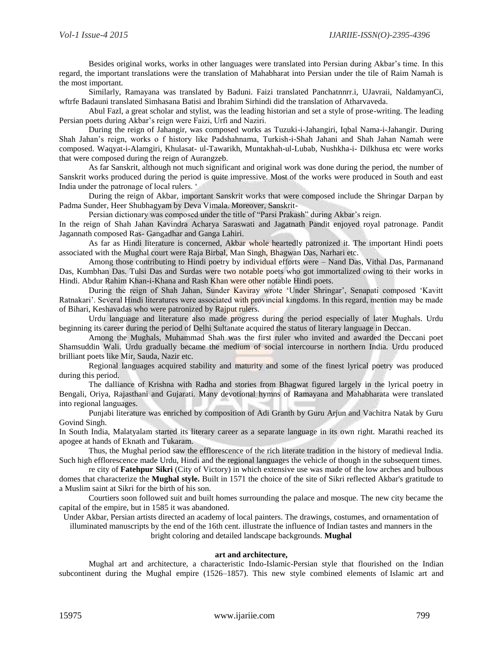Besides original works, works in other languages were translated into Persian during Akbar's time. In this regard, the important translations were the translation of Mahabharat into Persian under the tile of Raim Namah is the most important.

Similarly, Ramayana was translated by Baduni. Faizi translated Panchatnnrr.i, UJavraii, NaldamyanCi, wftrfe Badauni translated Simhasana Batisi and Ibrahim Sirhindi did the translation of Atharvaveda.

Abul Fazl, a great scholar and stylist, was the leading historian and set a style of prose-writing. The leading Persian poets during Akbar's reign were Faizi, Urfi and Naziri.

During the reign of Jahangir, was composed works as Tuzuki-i-Jahangiri, Iqbal Nama-i-Jahangir. During Shah Jahan's reign, works o f history like Padshahnama, Turkish-i-Shah Jahani and Shah Jahan Namah were composed. Waqyat-i-Alamgiri, Khulasat- ul-Tawarikh, Muntakhah-ul-Lubab, Nushkha-i- Dilkhusa etc were works that were composed during the reign of Aurangzeb.

As far Sanskrit, although not much significant and original work was done during the period, the number of Sanskrit works produced during the period is quite impressive. Most of the works were produced in South and east India under the patronage of local rulers. '

During the reign of Akbar, important Sanskrit works that were composed include the Shringar Darpan by Padma Sunder, Heer Shubhagyam by Deva Vimala. Moreover, Sanskrit-

Persian dictionary was composed under the title of "Parsi Prakash" during Akbar's reign.

In the reign of Shah Jahan Kavindra Acharya Saraswati and Jagatnath Pandit enjoyed royal patronage. Pandit Jagannath composed Ras- Gangadhar and Ganga Lahiri.

As far as Hindi literature is concerned, Akbar whole heartedly patronized it. The important Hindi poets associated with the Mughal court were Raja Birbal, Man Singh, Bhagwan Das, Narhari etc.

Among those contributing to Hindi poetry by individual efforts were – Nand Das, Vithal Das, Parmanand Das, Kumbhan Das. Tulsi Das and Surdas were two notable poets who got immortalized owing to their works in Hindi. Abdur Rahim Khan-i-Khana and Rash Khan were other notable Hindi poets.

During the reign of Shah Jahan, Sunder Kaviray wrote 'Under Shringar', Senapati composed 'Kavitt Ratnakari'. Several Hindi literatures were associated with provincial kingdoms. In this regard, mention may be made of Bihari, Keshavadas who were patronized by Rajput rulers.

Urdu language and literature also made progress during the period especially of later Mughals. Urdu beginning its career during the period of Delhi Sultanate acquired the status of literary language in Deccan.

Among the Mughals, Muhammad Shah was the first ruler who invited and awarded the Deccani poet Shamsuddin Wali. Urdu gradually became the medium of social intercourse in northern India. Urdu produced brilliant poets like Mir, Sauda, Nazir etc.

Regional languages acquired stability and maturity and some of the finest lyrical poetry was produced during this period.

The dalliance of Krishna with Radha and stories from Bhagwat figured largely in the lyrical poetry in Bengali, Oriya, Rajasthani and Gujarati. Many devotional hymns of Ramayana and Mahabharata were translated into regional languages.

Punjabi literature was enriched by composition of Adi Granth by Guru Arjun and Vachitra Natak by Guru Govind Singh.

In South India, Malatyalam started its literary career as a separate language in its own right. Marathi reached its apogee at hands of Eknath and Tukaram.

Thus, the Mughal period saw the efflorescence of the rich literate tradition in the history of medieval India. Such high efflorescence made Urdu, Hindi and the regional languages the vehicle of though in the subsequent times.

re city of **Fatehpur Sikri** (City of Victory) in which extensive use was made of the low arches and bulbous domes that characterize the **Mughal style.** Built in 1571 the choice of the site of Sikri reflected Akbar's gratitude to a Muslim saint at Sikri for the birth of his son.

Courtiers soon followed suit and built homes surrounding the palace and mosque. The new city became the capital of the empire, but in 1585 it was abandoned.

Under Akbar, Persian artists directed an academy of local painters. The drawings, costumes, and ornamentation of illuminated manuscripts by the end of the 16th cent. illustrate the influence of Indian tastes and manners in the

bright coloring and detailed landscape backgrounds. **Mughal** 

#### **art and architecture,**

Mughal art and architecture, a characteristic Indo-Islamic-Persian style that flourished on the Indian subcontinent during the Mughal empire (1526–1857). This new style combined elements of Islamic art and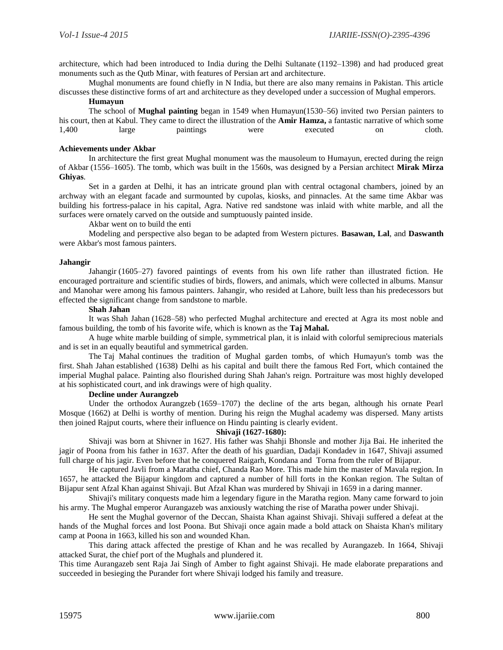architecture, which had been introduced to India during the Delhi Sultanate (1192–1398) and had produced great monuments such as the Qutb Minar, with features of Persian art and architecture.

Mughal monuments are found chiefly in N India, but there are also many remains in Pakistan. This article discusses these distinctive forms of art and architecture as they developed under a succession of Mughal emperors.

#### **Humayun**

The school of **Mughal painting** began in 1549 when Humayun(1530–56) invited two Persian painters to his court, then at Kabul. They came to direct the illustration of the **Amir Hamza,** a fantastic narrative of which some 1,400 large paintings were executed on cloth.

# **Achievements under Akbar**

In architecture the first great Mughal monument was the mausoleum to Humayun, erected during the reign of Akbar (1556–1605). The tomb, which was built in the 1560s, was designed by a Persian architect **Mirak Mirza Ghiyas**.

Set in a garden at Delhi, it has an intricate ground plan with central octagonal chambers, joined by an archway with an elegant facade and surmounted by cupolas, kiosks, and pinnacles. At the same time Akbar was building his fortress-palace in his capital, Agra. Native red sandstone was inlaid with white marble, and all the surfaces were ornately carved on the outside and sumptuously painted inside.

Akbar went on to build the enti

Modeling and perspective also began to be adapted from Western pictures. **Basawan, Lal**, and **Daswanth** were Akbar's most famous painters.

#### **Jahangir**

Jahangir (1605–27) favored paintings of events from his own life rather than illustrated fiction. He encouraged portraiture and scientific studies of birds, flowers, and animals, which were collected in albums. Mansur and Manohar were among his famous painters. Jahangir, who resided at Lahore, built less than his predecessors but effected the significant change from sandstone to marble.

## **Shah Jahan**

It was Shah Jahan (1628–58) who perfected Mughal architecture and erected at Agra its most noble and famous building, the tomb of his favorite wife, which is known as the **Taj Mahal.** 

A huge white marble building of simple, symmetrical plan, it is inlaid with colorful semiprecious materials and is set in an equally beautiful and symmetrical garden.

The Taj Mahal continues the tradition of Mughal garden tombs, of which Humayun's tomb was the first. Shah Jahan established (1638) Delhi as his capital and built there the famous Red Fort, which contained the imperial Mughal palace. Painting also flourished during Shah Jahan's reign. Portraiture was most highly developed at his sophisticated court, and ink drawings were of high quality.

## **Decline under Aurangzeb**

Under the orthodox Aurangzeb (1659–1707) the decline of the arts began, although his ornate Pearl Mosque (1662) at Delhi is worthy of mention. During his reign the Mughal academy was dispersed. Many artists then joined Rajput courts, where their influence on Hindu painting is clearly evident.

# **Shivaji (1627-1680):**

Shivaji was born at Shivner in 1627. His father was Shahji Bhonsle and mother Jija Bai. He inherited the jagir of Poona from his father in 1637. After the death of his guardian, Dadaji Kondadev in 1647, Shivaji assumed full charge of his jagir. Even before that he conquered Raigarh, Kondana and Torna from the ruler of Bijapur.

He captured Javli from a Maratha chief, Chanda Rao More. This made him the master of Mavala region. In 1657, he attacked the Bijapur kingdom and captured a number of hill forts in the Konkan region. The Sultan of Bijapur sent Afzal Khan against Shivaji. But Afzal Khan was murdered by Shivaji in 1659 in a daring manner.

Shivaji's military conquests made him a legendary figure in the Maratha region. Many came forward to join his army. The Mughal emperor Aurangazeb was anxiously watching the rise of Maratha power under Shivaji.

He sent the Mughal governor of the Deccan, Shaista Khan against Shivaji. Shivaji suffered a defeat at the hands of the Mughal forces and lost Poona. But Shivaji once again made a bold attack on Shaista Khan's military camp at Poona in 1663, killed his son and wounded Khan.

This daring attack affected the prestige of Khan and he was recalled by Aurangazeb. In 1664, Shivaji attacked Surat, the chief port of the Mughals and plundered it.

This time Aurangazeb sent Raja Jai Singh of Amber to fight against Shivaji. He made elaborate preparations and succeeded in besieging the Purander fort where Shivaji lodged his family and treasure.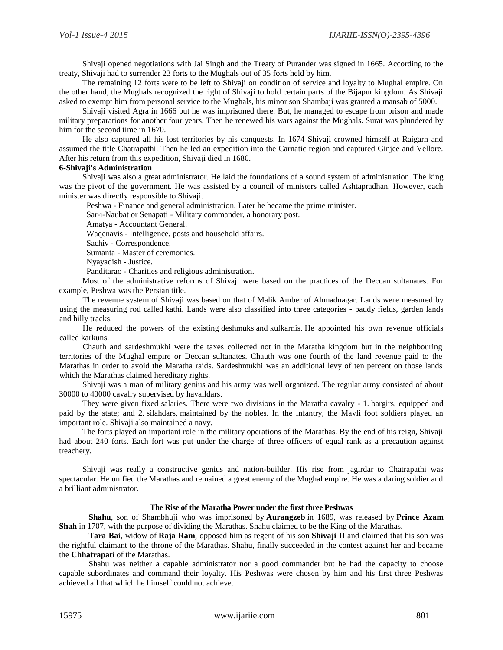Shivaji opened negotiations with Jai Singh and the Treaty of Purander was signed in 1665. According to the treaty, Shivaji had to surrender 23 forts to the Mughals out of 35 forts held by him.

The remaining 12 forts were to be left to Shivaji on condition of service and loyalty to Mughal empire. On the other hand, the Mughals recognized the right of Shivaji to hold certain parts of the Bijapur kingdom. As Shivaji asked to exempt him from personal service to the Mughals, his minor son Shambaji was granted a mansab of 5000.

Shivaji visited Agra in 1666 but he was imprisoned there. But, he managed to escape from prison and made military preparations for another four years. Then he renewed his wars against the Mughals. Surat was plundered by him for the second time in 1670.

He also captured all his lost territories by his conquests. In 1674 Shivaji crowned himself at Raigarh and assumed the title Chatrapathi. Then he led an expedition into the Carnatic region and captured Ginjee and Vellore. After his return from this expedition, Shivaji died in 1680.

## **6-Shivaji's Administration**

Shivaji was also a great administrator. He laid the foundations of a sound system of administration. The king was the pivot of the government. He was assisted by a council of ministers called Ashtapradhan. However, each minister was directly responsible to Shivaji.

Peshwa - Finance and general administration. Later he became the prime minister.

Sar-i-Naubat or Senapati - Military commander, a honorary post.

Amatya - Accountant General.

Waqenavis - Intelligence, posts and household affairs.

Sachiv - Correspondence.

Sumanta - Master of ceremonies.

Nyayadish - Justice.

Panditarao - Charities and religious administration.

Most of the administrative reforms of Shivaji were based on the practices of the Deccan sultanates. For example, Peshwa was the Persian title.

The revenue system of Shivaji was based on that of Malik Amber of Ahmadnagar. Lands were measured by using the measuring rod called kathi. Lands were also classified into three categories - paddy fields, garden lands and hilly tracks.

He reduced the powers of the existing deshmuks and kulkarnis. He appointed his own revenue officials called karkuns.

Chauth and sardeshmukhi were the taxes collected not in the Maratha kingdom but in the neighbouring territories of the Mughal empire or Deccan sultanates. Chauth was one fourth of the land revenue paid to the Marathas in order to avoid the Maratha raids. Sardeshmukhi was an additional levy of ten percent on those lands which the Marathas claimed hereditary rights.

Shivaji was a man of military genius and his army was well organized. The regular army consisted of about 30000 to 40000 cavalry supervised by havaildars.

They were given fixed salaries. There were two divisions in the Maratha cavalry - 1. bargirs, equipped and paid by the state; and 2. silahdars, maintained by the nobles. In the infantry, the Mavli foot soldiers played an important role. Shivaji also maintained a navy.

The forts played an important role in the military operations of the Marathas. By the end of his reign, Shivaji had about 240 forts. Each fort was put under the charge of three officers of equal rank as a precaution against treachery.

Shivaji was really a constructive genius and nation-builder. His rise from jagirdar to Chatrapathi was spectacular. He unified the Marathas and remained a great enemy of the Mughal empire. He was a daring soldier and a brilliant administrator.

## **The Rise of the Maratha Power under the first three Peshwas**

**Shahu**, son of Shambhuji who was imprisoned by **Aurangzeb** in 1689, was released by **Prince Azam Shah** in 1707, with the purpose of dividing the Marathas. Shahu claimed to be the King of the Marathas.

**Tara Bai**, widow of **Raja Ram**, opposed him as regent of his son **Shivaji II** and claimed that his son was the rightful claimant to the throne of the Marathas. Shahu, finally succeeded in the contest against her and became the **Chhatrapati** of the Marathas.

Shahu was neither a capable administrator nor a good commander but he had the capacity to choose capable subordinates and command their loyalty. His Peshwas were chosen by him and his first three Peshwas achieved all that which he himself could not achieve.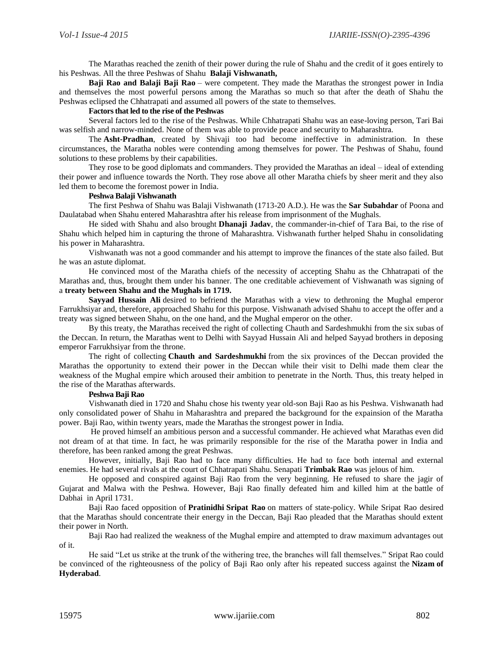The Marathas reached the zenith of their power during the rule of Shahu and the credit of it goes entirely to his Peshwas. All the three Peshwas of Shahu **Balaji Vishwanath,** 

**Baji Rao and Balaji Baji Rao** – were competent. They made the Marathas the strongest power in India and themselves the most powerful persons among the Marathas so much so that after the death of Shahu the Peshwas eclipsed the Chhatrapati and assumed all powers of the state to themselves.

## **Factors that led to the rise of the Peshwas**

Several factors led to the rise of the Peshwas. While Chhatrapati Shahu was an ease-loving person, Tari Bai was selfish and narrow-minded. None of them was able to provide peace and security to Maharashtra.

The **Asht-Pradhan**, created by Shivaji too had become ineffective in administration. In these circumstances, the Maratha nobles were contending among themselves for power. The Peshwas of Shahu, found solutions to these problems by their capabilities.

They rose to be good diplomats and commanders. They provided the Marathas an ideal – ideal of extending their power and influence towards the North. They rose above all other Maratha chiefs by sheer merit and they also led them to become the foremost power in India.

## **Peshwa Balaji Vishwanath**

The first Peshwa of Shahu was Balaji Vishwanath (1713-20 A.D.). He was the **Sar Subahdar** of Poona and Daulatabad when Shahu entered Maharashtra after his release from imprisonment of the Mughals.

He sided with Shahu and also brought **Dhanaji Jadav**, the commander-in-chief of Tara Bai, to the rise of Shahu which helped him in capturing the throne of Maharashtra. Vishwanath further helped Shahu in consolidating his power in Maharashtra.

Vishwanath was not a good commander and his attempt to improve the finances of the state also failed. But he was an astute diplomat.

He convinced most of the Maratha chiefs of the necessity of accepting Shahu as the Chhatrapati of the Marathas and, thus, brought them under his banner. The one creditable achievement of Vishwanath was signing of a **treaty between Shahu and the Mughals in 1719.** 

**Sayyad Hussain Ali** desired to befriend the Marathas with a view to dethroning the Mughal emperor Farrukhsiyar and, therefore, approached Shahu for this purpose. Vishwanath advised Shahu to accept the offer and a treaty was signed between Shahu, on the one hand, and the Mughal emperor on the other.

By this treaty, the Marathas received the right of collecting [Chauth and Sardeshmukhi](https://biilsk.ga/newsbeat/who-introduced-chauth-and-sardeshmukhi.php) from the six subas of the Deccan. In return, the Marathas went to Delhi with Sayyad Hussain Ali and helped Sayyad brothers in deposing emperor Farrukhsiyar from the throne.

The right of collecting **Chauth and Sardeshmukhi** from the six provinces of the Deccan provided the Marathas the opportunity to extend their power in the Deccan while their visit to Delhi made them clear the weakness of the Mughal empire which aroused their ambition to penetrate in the North. Thus, this treaty helped in the rise of the Marathas afterwards.

#### **[Peshwa Baji Rao](https://www.sansarlochan.in/en/baji-rao-1/)**

Vishwanath died in 1720 and Shahu chose his twenty year old-son Baji Rao as his Peshwa. Vishwanath had only consolidated power of Shahu in Maharashtra and prepared the background for the expainsion of the Maratha power. Baji Rao, within twenty years, made the Marathas the strongest power in India.

He proved himself an ambitious person and a successful commander. He achieved what Marathas even did not dream of at that time. In fact, he was primarily responsible for the rise of the Maratha power in India and therefore, has been ranked among the great Peshwas.

However, initially, Baji Rao had to face many difficulties. He had to face both internal and external enemies. He had several rivals at the court of Chhatrapati Shahu. Senapati **Trimbak Rao** was jelous of him.

He opposed and conspired against Baji Rao from the very beginning. He refused to share the jagir of Gujarat and Malwa with the Peshwa. However, Baji Rao finally defeated him and killed him at the [battle of](https://www.esamskriti.com/e/History/Indian-History/BAJIRAO-PESHWA-~-THE-EMPIRE-BUILDER-1.aspx)  [Dabhai](https://www.esamskriti.com/e/History/Indian-History/BAJIRAO-PESHWA-~-THE-EMPIRE-BUILDER-1.aspx) in April 1731.

Baji Rao faced opposition of **Pratinidhi Sripat Rao** on matters of state-policy. While Sripat Rao desired that the Marathas should concentrate their energy in the Deccan, Baji Rao pleaded that the Marathas should extent their power in North.

Baji Rao had realized the weakness of the Mughal empire and attempted to draw maximum advantages out of it.

He said "Let us strike at the trunk of the withering tree, the branches will fall themselves." Sripat Rao could be convinced of the righteousness of the policy of Baji Rao only after his repeated success against the **Nizam of Hyderabad**.